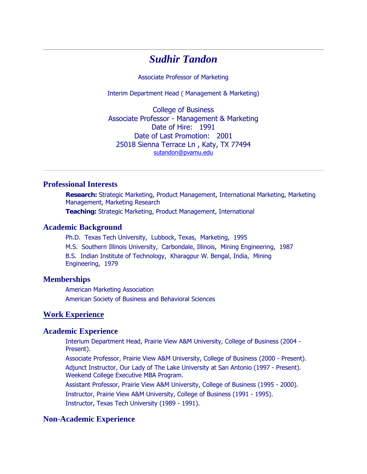# *Sudhir Tandon*

Associate Professor of Marketing

Interim Department Head ( Management & Marketing)

College of Business Associate Professor - Management & Marketing Date of Hire: 1991 Date of Last Promotion: 2001 25018 Sienna Terrace Ln , Katy, TX 77494 [sutandon@pvamu.edu](mailto:sutandon@pvamu.edu) 

## **Professional Interests**

**Research:** Strategic Marketing, Product Management, International Marketing, Marketing Management, Marketing Research **Teaching:** Strategic Marketing, Product Management, International

#### **Academic Background**

Ph.D. Texas Tech University, Lubbock, Texas, Marketing, 1995 M.S. Southern Illinois University, Carbondale, Illinois, Mining Engineering, 1987 B.S. Indian Institute of Technology, Kharagpur W. Bengal, India, Mining Engineering, 1979

#### **Memberships**

American Marketing Association American Society of Business and Behavioral Sciences

#### **Work Experience**

#### **Academic Experience**

Interium Department Head, Prairie View A&M University, College of Business (2004 - Present).

Associate Professor, Prairie View A&M University, College of Business (2000 - Present). Adjunct Instructor, Our Lady of The Lake University at San Antonio (1997 - Present). Weekend College Executive MBA Program.

Assistant Professor, Prairie View A&M University, College of Business (1995 - 2000). Instructor, Prairie View A&M University, College of Business (1991 - 1995). Instructor, Texas Tech University (1989 - 1991).

### **Non-Academic Experience**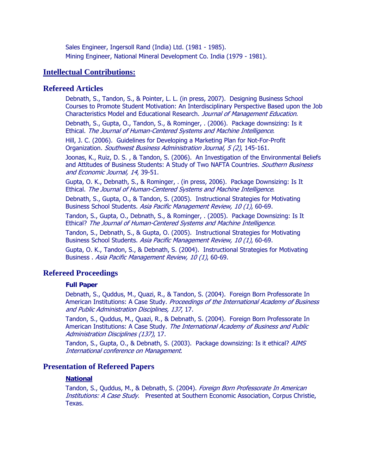Sales Engineer, Ingersoll Rand (India) Ltd. (1981 - 1985). Mining Engineer, National Mineral Development Co. India (1979 - 1981).

### **Intellectual Contributions:**

#### **Refereed Articles**

Debnath, S., Tandon, S., & Pointer, L. L. (in press, 2007). Designing Business School Courses to Promote Student Motivation: An Interdisciplinary Perspective Based upon the Job Characteristics Model and Educational Research. Journal of Management Education.

Debnath, S., Gupta, O., Tandon, S., & Rominger, . (2006). Package downsizing: Is it Ethical. The Journal of Human-Centered Systems and Machine Intelligence.

Hill, J. C. (2006). Guidelines for Developing a Marketing Plan for Not-For-Profit Organization. Southwest Business Administration Journal, 5 (2), 145-161.

Joonas, K., Ruiz, D. S. , & Tandon, S. (2006). An Investigation of the Environmental Beliefs and Attitudes of Business Students: A Study of Two NAFTA Countries. Southern Business and Economic Journal, 14, 39-51.

Gupta, O. K., Debnath, S., & Rominger, . (in press, 2006). Package Downsizing: Is It Ethical. The Journal of Human-Centered Systems and Machine Intelligence.

Debnath, S., Gupta, O., & Tandon, S. (2005). Instructional Strategies for Motivating Business School Students. Asia Pacific Management Review, 10 (1), 60-69.

Tandon, S., Gupta, O., Debnath, S., & Rominger, . (2005). Package Downsizing: Is It Ethical? The Journal of Human-Centered Systems and Machine Intelligence.

Tandon, S., Debnath, S., & Gupta, O. (2005). Instructional Strategies for Motivating Business School Students. Asia Pacific Management Review, 10 (1), 60-69.

Gupta, O. K., Tandon, S., & Debnath, S. (2004). Instructional Strategies for Motivating Business . Asia Pacific Management Review, 10 (1), 60-69.

### **Refereed Proceedings**

#### **Full Paper**

Debnath, S., Quddus, M., Quazi, R., & Tandon, S. (2004). Foreign Born Professorate In American Institutions: A Case Study. Proceedings of the International Academy of Business and Public Administration Disciplines, 137, 17.

Tandon, S., Quddus, M., Quazi, R., & Debnath, S. (2004). Foreign Born Professorate In American Institutions: A Case Study. The International Academy of Business and Public Administration Disciplines (137), 17.

Tandon, S., Gupta, O., & Debnath, S. (2003). Package downsizing: Is it ethical? AIMS International conference on Management.

### **Presentation of Refereed Papers**

#### **National**

Tandon, S., Quddus, M., & Debnath, S. (2004). Foreign Born Professorate In American **Institutions: A Case Study.** Presented at Southern Economic Association, Corpus Christie, Texas.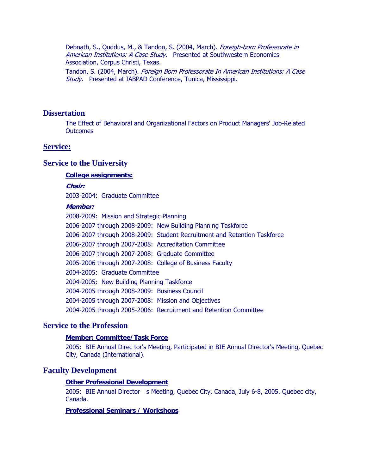Debnath, S., Quddus, M., & Tandon, S. (2004, March). Foreigh-born Professorate in American Institutions: A Case Study. Presented at Southwestern Economics Association, Corpus Christi, Texas.

Tandon, S. (2004, March). Foreign Born Professorate In American Institutions: A Case Study. Presented at IABPAD Conference, Tunica, Mississippi.

### **Dissertation**

The Effect of Behavioral and Organizational Factors on Product Managers' Job-Related **Outcomes** 

#### **Service:**

#### **Service to the University**

#### **College assignments:**

**Chair:** 

2003-2004: Graduate Committee

#### **Member:**

2008-2009: Mission and Strategic Planning 2006-2007 through 2008-2009: New Building Planning Taskforce 2006-2007 through 2008-2009: Student Recruitment and Retention Taskforce 2006-2007 through 2007-2008: Accreditation Committee 2006-2007 through 2007-2008: Graduate Committee 2005-2006 through 2007-2008: College of Business Faculty 2004-2005: Graduate Committee 2004-2005: New Building Planning Taskforce 2004-2005 through 2008-2009: Business Council 2004-2005 through 2007-2008: Mission and Objectives 2004-2005 through 2005-2006: Recruitment and Retention Committee

### **Service to the Profession**

#### **Member: Committee/Task Force**

2005: BIE Annual Direc tor's Meeting, Participated in BIE Annual Director's Meeting, Quebec City, Canada (International).

#### **Faculty Development**

#### **Other Professional Development**

2005: BIE Annual Director s Meeting, Quebec City, Canada, July 6-8, 2005. Quebec city, Canada.

#### **Professional Seminars / Workshops**